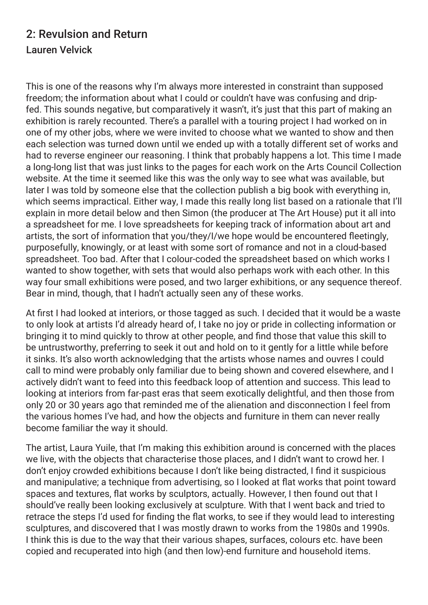## 2: Revulsion and Return

## Lauren Velvick

This is one of the reasons why I'm always more interested in constraint than supposed freedom; the information about what I could or couldn't have was confusing and dripfed. This sounds negative, but comparatively it wasn't, it's just that this part of making an exhibition is rarely recounted. There's a parallel with a touring project I had worked on in one of my other jobs, where we were invited to choose what we wanted to show and then each selection was turned down until we ended up with a totally different set of works and had to reverse engineer our reasoning. I think that probably happens a lot. This time I made a long-long list that was just links to the pages for each work on the Arts Council Collection website. At the time it seemed like this was the only way to see what was available, but later I was told by someone else that the collection publish a big book with everything in, which seems impractical. Either way, I made this really long list based on a rationale that I'll explain in more detail below and then Simon (the producer at The Art House) put it all into a spreadsheet for me. I love spreadsheets for keeping track of information about art and artists, the sort of information that you/they/I/we hope would be encountered fleetingly, purposefully, knowingly, or at least with some sort of romance and not in a cloud-based spreadsheet. Too bad. After that I colour-coded the spreadsheet based on which works I wanted to show together, with sets that would also perhaps work with each other. In this way four small exhibitions were posed, and two larger exhibitions, or any sequence thereof. Bear in mind, though, that I hadn't actually seen any of these works.

At first I had looked at interiors, or those tagged as such. I decided that it would be a waste to only look at artists I'd already heard of, I take no joy or pride in collecting information or bringing it to mind quickly to throw at other people, and find those that value this skill to be untrustworthy, preferring to seek it out and hold on to it gently for a little while before it sinks. It's also worth acknowledging that the artists whose names and ouvres I could call to mind were probably only familiar due to being shown and covered elsewhere, and I actively didn't want to feed into this feedback loop of attention and success. This lead to looking at interiors from far-past eras that seem exotically delightful, and then those from only 20 or 30 years ago that reminded me of the alienation and disconnection I feel from the various homes I've had, and how the objects and furniture in them can never really become familiar the way it should.

The artist, Laura Yuile, that I'm making this exhibition around is concerned with the places we live, with the objects that characterise those places, and I didn't want to crowd her. I don't enjoy crowded exhibitions because I don't like being distracted, I find it suspicious and manipulative; a technique from advertising, so I looked at flat works that point toward spaces and textures, flat works by sculptors, actually. However, I then found out that I should've really been looking exclusively at sculpture. With that I went back and tried to retrace the steps I'd used for finding the flat works, to see if they would lead to interesting sculptures, and discovered that I was mostly drawn to works from the 1980s and 1990s. I think this is due to the way that their various shapes, surfaces, colours etc. have been copied and recuperated into high (and then low)-end furniture and household items.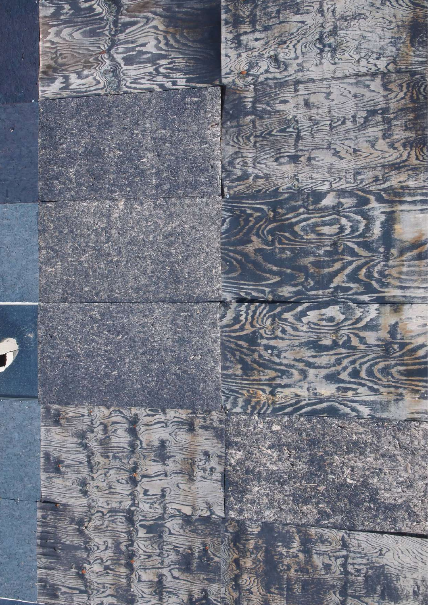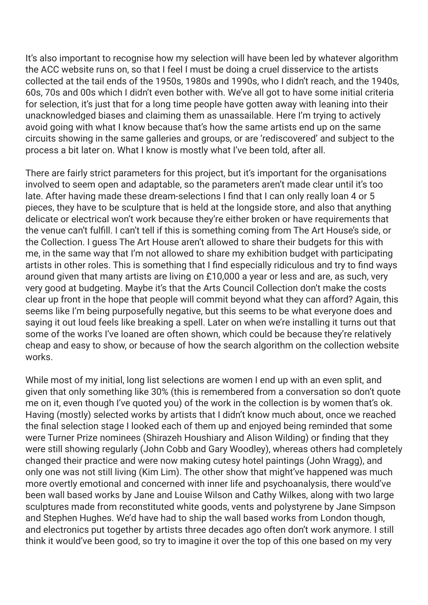It's also important to recognise how my selection will have been led by whatever algorithm the ACC website runs on, so that I feel I must be doing a cruel disservice to the artists collected at the tail ends of the 1950s, 1980s and 1990s, who I didn't reach, and the 1940s, 60s, 70s and 00s which I didn't even bother with. We've all got to have some initial criteria for selection, it's just that for a long time people have gotten away with leaning into their unacknowledged biases and claiming them as unassailable. Here I'm trying to actively avoid going with what I know because that's how the same artists end up on the same circuits showing in the same galleries and groups, or are 'rediscovered' and subject to the process a bit later on. What I know is mostly what I've been told, after all.

There are fairly strict parameters for this project, but it's important for the organisations involved to seem open and adaptable, so the parameters aren't made clear until it's too late. After having made these dream-selections I find that I can only really loan 4 or 5 pieces, they have to be sculpture that is held at the longside store, and also that anything delicate or electrical won't work because they're either broken or have requirements that the venue can't fulfill. I can't tell if this is something coming from The Art House's side, or the Collection. I guess The Art House aren't allowed to share their budgets for this with me, in the same way that I'm not allowed to share my exhibition budget with participating artists in other roles. This is something that I find especially ridiculous and try to find ways around given that many artists are living on £10,000 a year or less and are, as such, very very good at budgeting. Maybe it's that the Arts Council Collection don't make the costs clear up front in the hope that people will commit beyond what they can afford? Again, this seems like I'm being purposefully negative, but this seems to be what everyone does and saying it out loud feels like breaking a spell. Later on when we're installing it turns out that some of the works I've loaned are often shown, which could be because they're relatively cheap and easy to show, or because of how the search algorithm on the collection website works.

While most of my initial, long list selections are women I end up with an even split, and given that only something like 30% (this is remembered from a conversation so don't quote me on it, even though I've quoted you) of the work in the collection is by women that's ok. Having (mostly) selected works by artists that I didn't know much about, once we reached the final selection stage I looked each of them up and enjoyed being reminded that some were Turner Prize nominees (Shirazeh Houshiary and Alison Wilding) or finding that they were still showing regularly (John Cobb and Gary Woodley), whereas others had completely changed their practice and were now making cutesy hotel paintings (John Wragg), and only one was not still living (Kim Lim). The other show that might've happened was much more overtly emotional and concerned with inner life and psychoanalysis, there would've been wall based works by Jane and Louise Wilson and Cathy Wilkes, along with two large sculptures made from reconstituted white goods, vents and polystyrene by Jane Simpson and Stephen Hughes. We'd have had to ship the wall based works from London though, and electronics put together by artists three decades ago often don't work anymore. I still think it would've been good, so try to imagine it over the top of this one based on my very